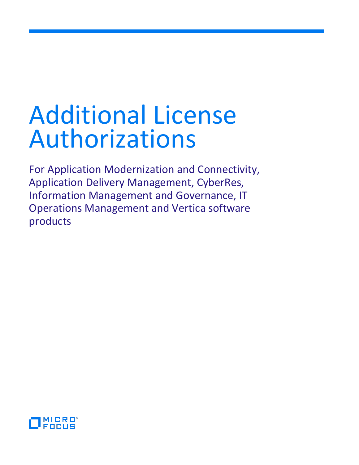For Application Modernization and Connectivity, Application Delivery Management, CyberRes, Information Management and Governance, IT Operations Management and Vertica software products

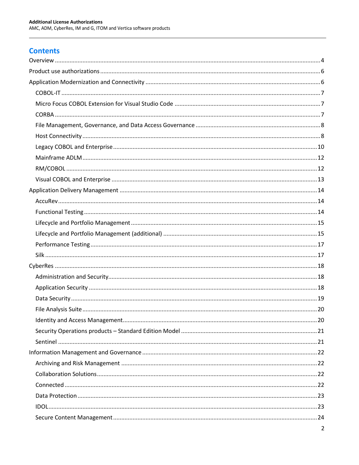# **Contents**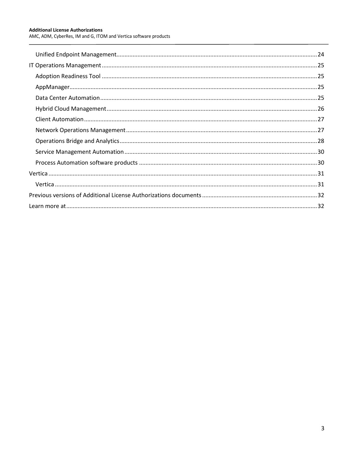$\overline{a}$ 

AMC, ADM, CyberRes, IM and G, ITOM and Vertica software products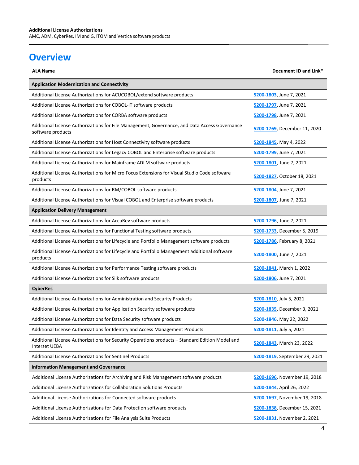# <span id="page-3-0"></span>**Overview**

| <b>ALA Name</b>                                                                                                         | Document ID and Link*         |
|-------------------------------------------------------------------------------------------------------------------------|-------------------------------|
| <b>Application Modernization and Connectivity</b>                                                                       |                               |
| Additional License Authorizations for ACUCOBOL/extend software products                                                 | 5200-1803, June 7, 2021       |
| Additional License Authorizations for COBOL-IT software products                                                        | 5200-1797, June 7, 2021       |
| Additional License Authorizations for CORBA software products                                                           | 5200-1798, June 7, 2021       |
| Additional License Authorizations for File Management, Governance, and Data Access Governance<br>software products      | 5200-1769, December 11, 2020  |
| Additional License Authorizations for Host Connectivity software products                                               | 5200-1845, May 4, 2022        |
| Additional License Authorizations for Legacy COBOL and Enterprise software products                                     | 5200-1799, June 7, 2021       |
| Additional License Authorizations for Mainframe ADLM software products                                                  | 5200-1801, June 7, 2021       |
| Additional License Authorizations for Micro Focus Extensions for Visual Studio Code software<br>products                | 5200-1827, October 18, 2021   |
| Additional License Authorizations for RM/COBOL software products                                                        | 5200-1804, June 7, 2021       |
| Additional License Authorizations for Visual COBOL and Enterprise software products                                     | 5200-1807, June 7, 2021       |
| <b>Application Delivery Management</b>                                                                                  |                               |
| Additional License Authorizations for AccuRev software products                                                         | 5200-1796, June 7, 2021       |
| Additional License Authorizations for Functional Testing software products                                              | 5200-1733, December 5, 2019   |
| Additional License Authorizations for Lifecycle and Portfolio Management software products                              | 5200-1786, February 8, 2021   |
| Additional License Authorizations for Lifecycle and Portfolio Management additional software<br>products                | 5200-1800, June 7, 2021       |
| Additional License Authorizations for Performance Testing software products                                             | 5200-1841, March 1, 2022      |
| Additional License Authorizations for Silk software products                                                            | 5200-1806, June 7, 2021       |
| <b>CyberRes</b>                                                                                                         |                               |
| Additional License Authorizations for Administration and Security Products                                              | 5200-1810, July 5, 2021       |
| Additional License Authorizations for Application Security software products                                            | 5200-1835, December 3, 2021   |
| Additional License Authorizations for Data Security software products                                                   | 5200-1846, May 22, 2022       |
| Additional License Authorizations for Identity and Access Management Products                                           | 5200-1811, July 5, 2021       |
| Additional License Authorizations for Security Operations products - Standard Edition Model and<br><b>Interset UEBA</b> | 5200-1843, March 23, 2022     |
| Additional License Authorizations for Sentinel Products                                                                 | 5200-1819, September 29, 2021 |
| <b>Information Management and Governance</b>                                                                            |                               |
| Additional License Authorizations for Archiving and Risk Management software products                                   | 5200-1696, November 19, 2018  |
| Additional License Authorizations for Collaboration Solutions Products                                                  | 5200-1844, April 26, 2022     |
| Additional License Authorizations for Connected software products                                                       | 5200-1697, November 19, 2018  |
| Additional License Authorizations for Data Protection software products                                                 | 5200-1838, December 15, 2021  |
| Additional License Authorizations for File Analysis Suite Products                                                      | 5200-1831, November 2, 2021   |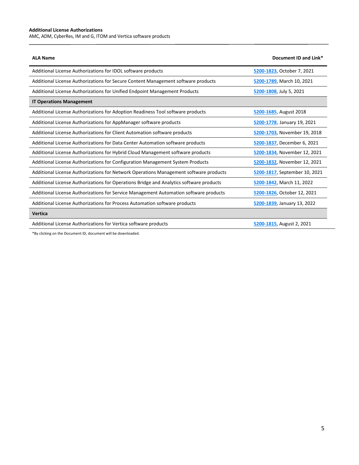$\overline{a}$ 

AMC, ADM, CyberRes, IM and G, ITOM and Vertica software products

| Additional License Authorizations for IDOL software products<br>5200-1823, October 7, 2021                             |  |
|------------------------------------------------------------------------------------------------------------------------|--|
| Additional License Authorizations for Secure Content Management software products<br>5200-1789, March 10, 2021         |  |
| Additional License Authorizations for Unified Endpoint Management Products<br>5200-1808, July 5, 2021                  |  |
| <b>IT Operations Management</b>                                                                                        |  |
| Additional License Authorizations for Adoption Readiness Tool software products<br>5200-1685, August 2018              |  |
| Additional License Authorizations for AppManager software products<br>5200-1778, January 19, 2021                      |  |
| Additional License Authorizations for Client Automation software products<br>5200-1703, November 19, 2018              |  |
| Additional License Authorizations for Data Center Automation software products<br>5200-1837, December 6, 2021          |  |
| Additional License Authorizations for Hybrid Cloud Management software products<br>5200-1834, November 12, 2021        |  |
| Additional License Authorizations for Configuration Management System Products<br>5200-1832, November 12, 2021         |  |
| Additional License Authorizations for Network Operations Management software products<br>5200-1817, September 10, 2021 |  |
| Additional License Authorizations for Operations Bridge and Analytics software products<br>5200-1842, March 11, 2022   |  |
| Additional License Authorizations for Service Management Automation software products<br>5200-1826, October 12, 2021   |  |
| Additional License Authorizations for Process Automation software products<br>5200-1839, January 13, 2022              |  |
| Vertica                                                                                                                |  |
| Additional License Authorizations for Vertica software products<br>5200-1815, August 2, 2021                           |  |

\*By clicking on the Document ID, document will be downloaded.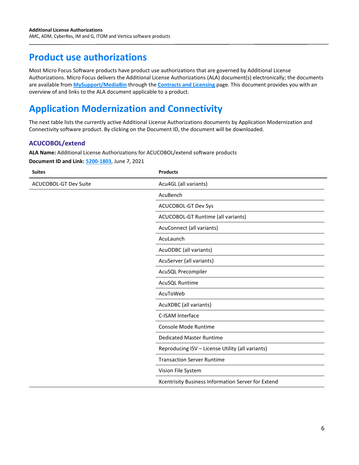# <span id="page-5-0"></span>**Product use authorizations**

Most Micro Focus Software products have product use authorizations that are governed by Additional License Authorizations. Micro Focus delivers the Additional License Authorizations (ALA) document(s) electronically; the documents are available from **[MySupport/MediaBin](https://softwaresupport.softwaregrp.com/web/softwaresupport/)** through the **[Contracts and](https://softwaresupport.softwaregrp.com/contracts-licensing) Licensing** page. This document provides you with an overview of and links to the ALA document applicable to a product.

# <span id="page-5-1"></span>**Application Modernization and Connectivity**

The next table lists the currently active Additional License Authorizations documents by Application Modernization and Connectivity software product. By clicking on the Document ID, the document will be downloaded.

#### **ACUCOBOL/extend**

**ALA Name:** Additional License Authorizations for ACUCOBOL/extend software products

**Document ID and Link: [5200-1803](https://www.microfocus.com/media/documentation/additional-license-authorizations-for-acucobol-extend-software-products-documentation.pdf)**, June 7, 2021

| <b>Suites</b>                | <b>Products</b>                                    |
|------------------------------|----------------------------------------------------|
| <b>ACUCOBOL-GT Dev Suite</b> | Acu4GL (all variants)                              |
|                              | AcuBench                                           |
|                              | ACUCOBOL-GT Dev Sys                                |
|                              | ACUCOBOL-GT Runtime (all variants)                 |
|                              | AcuConnect (all variants)                          |
|                              | AcuLaunch                                          |
|                              | AcuODBC (all variants)                             |
|                              | AcuServer (all variants)                           |
|                              | AcuSQL Precompiler                                 |
|                              | AcuSQL Runtime                                     |
|                              | AcuToWeb                                           |
|                              | AcuXDBC (all variants)                             |
|                              | C-ISAM Interface                                   |
|                              | Console Mode Runtime                               |
|                              | <b>Dedicated Master Runtime</b>                    |
|                              | Reproducing ISV - License Utility (all variants)   |
|                              | <b>Transaction Server Runtime</b>                  |
|                              | Vision File System                                 |
|                              | Xcentrisity Business Information Server for Extend |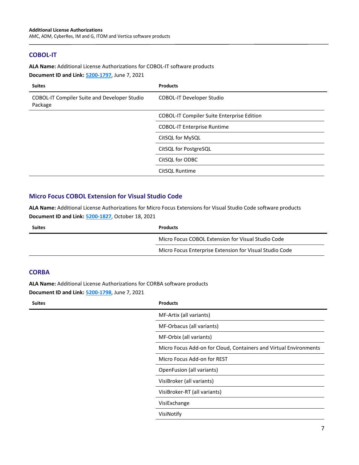#### <span id="page-6-0"></span>**COBOL-IT**

**ALA Name:** Additional License Authorizations for COBOL-IT software products

**Document ID and Link: [5200-1797](https://www.microfocus.com/media/documentation/additional-license-authorizations-for-cobol-it-software-products-documentation.pdf)**, June 7, 2021

| <b>Suites</b>                                           | <b>Products</b>                                   |
|---------------------------------------------------------|---------------------------------------------------|
| COBOL-IT Compiler Suite and Developer Studio<br>Package | <b>COBOL-IT Developer Studio</b>                  |
|                                                         | <b>COBOL-IT Compiler Suite Enterprise Edition</b> |
|                                                         | <b>COBOL-IT Enterprise Runtime</b>                |
|                                                         | CitSQL for MySQL                                  |
|                                                         | CitSQL for PostgreSQL                             |
|                                                         | CitSQL for ODBC                                   |
|                                                         | CitSQL Runtime                                    |

#### <span id="page-6-1"></span>**Micro Focus COBOL Extension for Visual Studio Code**

**ALA Name:** Additional License Authorizations for Micro Focus Extensions for Visual Studio Code software products **Document ID and Link: [5200-1827](https://www.microfocus.com/media/documentation/additional-license-authorizations-for-micro-focus-extensions-for-visual-studio-code-documentation.pdf)**, October 18, 2021

| <b>Suites</b> | <b>Products</b>                                         |
|---------------|---------------------------------------------------------|
|               | Micro Focus COBOL Extension for Visual Studio Code      |
|               | Micro Focus Enterprise Extension for Visual Studio Code |

#### <span id="page-6-2"></span>**CORBA**

**ALA Name:** Additional License Authorizations for CORBA software products

**Document ID and Link: [5200-1798](https://www.microfocus.com/media/documentation/additional-license-authorizations-for-corba-software-products-documentation.pdf)**, June 7, 2021

| <b>Suites</b><br><b>Products</b> |                                                                   |
|----------------------------------|-------------------------------------------------------------------|
| MF-Artix (all variants)          |                                                                   |
| MF-Orbacus (all variants)        |                                                                   |
| MF-Orbix (all variants)          |                                                                   |
|                                  | Micro Focus Add-on for Cloud, Containers and Virtual Environments |
| Micro Focus Add-on for REST      |                                                                   |
| OpenFusion (all variants)        |                                                                   |
| VisiBroker (all variants)        |                                                                   |
| VisiBroker-RT (all variants)     |                                                                   |
| VisiExchange                     |                                                                   |
| VisiNotify                       |                                                                   |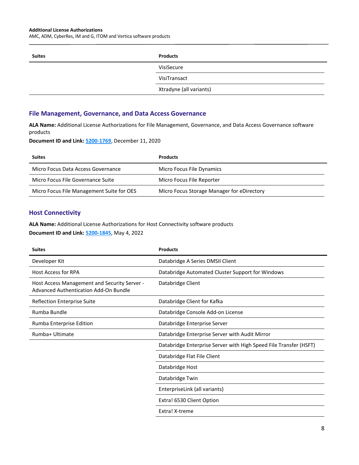AMC, ADM, CyberRes, IM and G, ITOM and Vertica software products

| <b>Suites</b> | <b>Products</b>         |
|---------------|-------------------------|
|               | VisiSecure              |
|               | VisiTransact            |
|               | Xtradyne (all variants) |

#### <span id="page-7-0"></span>**File Management, Governance, and Data Access Governance**

**ALA Name:** Additional License Authorizations for File Management, Governance, and Data Access Governance software products

**Document ID and Link: [5200-1769](https://www.microfocus.com/media/documentation/additional-license-authorizations-for-file-management-governance-and-data-access-governance-software-products-documentation.pdf)**, December 11, 2020

| <b>Suites</b>                             | <b>Products</b>                            |
|-------------------------------------------|--------------------------------------------|
| Micro Focus Data Access Governance        | Micro Focus File Dynamics                  |
| Micro Focus File Governance Suite         | Micro Focus File Reporter                  |
| Micro Focus File Management Suite for OES | Micro Focus Storage Manager for eDirectory |

#### <span id="page-7-1"></span>**Host Connectivity**

**ALA Name:** Additional License Authorizations for Host Connectivity software products **Document ID and Link: [5200-1845](https://www.microfocus.com/pnx/media/documentation/additional-license-authorizations-for-host-connectivity-software-products-documentation.pdf)**, May 4, 2022

| <b>Suites</b>                                                                         | <b>Products</b>                                                   |
|---------------------------------------------------------------------------------------|-------------------------------------------------------------------|
| Developer Kit                                                                         | Databridge A Series DMSII Client                                  |
| <b>Host Access for RPA</b>                                                            | Databridge Automated Cluster Support for Windows                  |
| Host Access Management and Security Server -<br>Advanced Authentication Add-On Bundle | Databridge Client                                                 |
| <b>Reflection Enterprise Suite</b>                                                    | Databridge Client for Kafka                                       |
| Rumba Bundle                                                                          | Databridge Console Add-on License                                 |
| Rumba Enterprise Edition                                                              | Databridge Enterprise Server                                      |
| Rumba+ Ultimate                                                                       | Databridge Enterprise Server with Audit Mirror                    |
|                                                                                       | Databridge Enterprise Server with High Speed File Transfer (HSFT) |
|                                                                                       | Databridge Flat File Client                                       |
|                                                                                       | Databridge Host                                                   |
|                                                                                       | Databridge Twin                                                   |
|                                                                                       | EnterpriseLink (all variants)                                     |
|                                                                                       | Extra! 6530 Client Option                                         |
|                                                                                       | Extra! X-treme                                                    |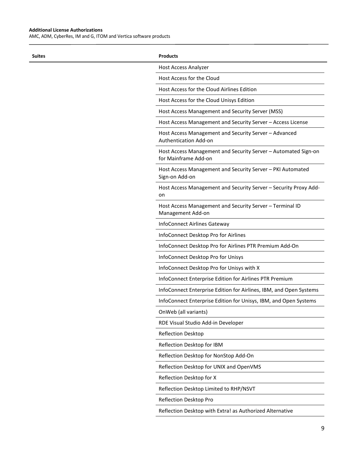$\overline{a}$ 

AMC, ADM, CyberRes, IM and G, ITOM and Vertica software products

| <b>Suites</b> | <b>Products</b>                                                                        |
|---------------|----------------------------------------------------------------------------------------|
|               | <b>Host Access Analyzer</b>                                                            |
|               | Host Access for the Cloud                                                              |
|               | Host Access for the Cloud Airlines Edition                                             |
|               | Host Access for the Cloud Unisys Edition                                               |
|               | Host Access Management and Security Server (MSS)                                       |
|               | Host Access Management and Security Server - Access License                            |
|               | Host Access Management and Security Server – Advanced<br>Authentication Add-on         |
|               | Host Access Management and Security Server - Automated Sign-on<br>for Mainframe Add-on |
|               | Host Access Management and Security Server - PKI Automated<br>Sign-on Add-on           |
|               | Host Access Management and Security Server - Security Proxy Add-<br>on                 |
|               | Host Access Management and Security Server - Terminal ID<br>Management Add-on          |
|               | InfoConnect Airlines Gateway                                                           |
|               | InfoConnect Desktop Pro for Airlines                                                   |
|               | InfoConnect Desktop Pro for Airlines PTR Premium Add-On                                |
|               | InfoConnect Desktop Pro for Unisys                                                     |
|               | InfoConnect Desktop Pro for Unisys with X                                              |
|               | InfoConnect Enterprise Edition for Airlines PTR Premium                                |
|               | InfoConnect Enterprise Edition for Airlines, IBM, and Open Systems                     |
|               | InfoConnect Enterprise Edition for Unisys, IBM, and Open Systems                       |
|               | OnWeb (all variants)                                                                   |
|               | RDE Visual Studio Add-in Developer                                                     |
|               | Reflection Desktop                                                                     |
|               | Reflection Desktop for IBM                                                             |
|               | Reflection Desktop for NonStop Add-On                                                  |
|               | Reflection Desktop for UNIX and OpenVMS                                                |
|               | Reflection Desktop for X                                                               |
|               | Reflection Desktop Limited to RHP/NSVT                                                 |
|               | Reflection Desktop Pro                                                                 |
|               | Reflection Desktop with Extra! as Authorized Alternative                               |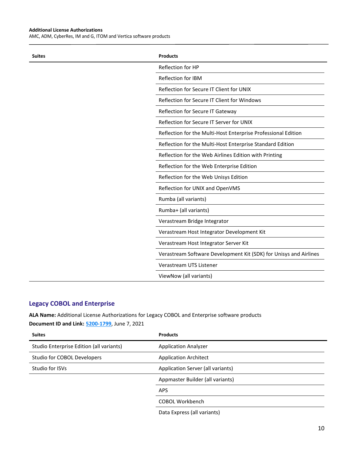AMC, ADM, CyberRes, IM and G, ITOM and Vertica software products

| <b>Suites</b> | <b>Products</b>                                                   |
|---------------|-------------------------------------------------------------------|
|               | Reflection for HP                                                 |
|               | Reflection for IBM                                                |
|               | Reflection for Secure IT Client for UNIX                          |
|               | Reflection for Secure IT Client for Windows                       |
|               | Reflection for Secure IT Gateway                                  |
|               | Reflection for Secure IT Server for UNIX                          |
|               | Reflection for the Multi-Host Enterprise Professional Edition     |
|               | Reflection for the Multi-Host Enterprise Standard Edition         |
|               | Reflection for the Web Airlines Edition with Printing             |
|               | Reflection for the Web Enterprise Edition                         |
|               | Reflection for the Web Unisys Edition                             |
|               | Reflection for UNIX and OpenVMS                                   |
|               | Rumba (all variants)                                              |
|               | Rumba+ (all variants)                                             |
|               | Verastream Bridge Integrator                                      |
|               | Verastream Host Integrator Development Kit                        |
|               | Verastream Host Integrator Server Kit                             |
|               | Verastream Software Development Kit (SDK) for Unisys and Airlines |
|               | Verastream UTS Listener                                           |
|               | ViewNow (all variants)                                            |

#### <span id="page-9-0"></span>**Legacy COBOL and Enterprise**

**ALA Name:** Additional License Authorizations for Legacy COBOL and Enterprise software products

**Document ID and Link: [5200-1799](https://www.microfocus.com/media/documentation/additional-license-authorizations-for-legacy-cobol-and-enterprise-software-products-documentation.pdf)**, June 7, 2021

| <b>Suites</b>                            | <b>Products</b>                   |
|------------------------------------------|-----------------------------------|
| Studio Enterprise Edition (all variants) | <b>Application Analyzer</b>       |
| Studio for COBOL Developers              | <b>Application Architect</b>      |
| Studio for ISVs                          | Application Server (all variants) |
|                                          | Appmaster Builder (all variants)  |
|                                          | <b>APS</b>                        |
|                                          | <b>COBOL Workbench</b>            |
|                                          |                                   |

Data Express (all variants)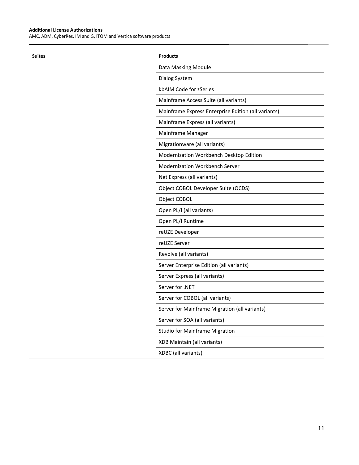$\overline{a}$ 

AMC, ADM, CyberRes, IM and G, ITOM and Vertica software products

| <b>Suites</b> | <b>Products</b>                                     |
|---------------|-----------------------------------------------------|
|               | Data Masking Module                                 |
|               | Dialog System                                       |
|               | kbAIM Code for zSeries                              |
|               | Mainframe Access Suite (all variants)               |
|               | Mainframe Express Enterprise Edition (all variants) |
|               | Mainframe Express (all variants)                    |
|               | Mainframe Manager                                   |
|               | Migrationware (all variants)                        |
|               | Modernization Workbench Desktop Edition             |
|               | Modernization Workbench Server                      |
|               | Net Express (all variants)                          |
|               | Object COBOL Developer Suite (OCDS)                 |
|               | Object COBOL                                        |
|               | Open PL/I (all variants)                            |
|               | Open PL/I Runtime                                   |
|               | reUZE Developer                                     |
|               | reUZE Server                                        |
|               | Revolve (all variants)                              |
|               | Server Enterprise Edition (all variants)            |
|               | Server Express (all variants)                       |
|               | Server for .NET                                     |
|               | Server for COBOL (all variants)                     |
|               | Server for Mainframe Migration (all variants)       |
|               | Server for SOA (all variants)                       |
|               | <b>Studio for Mainframe Migration</b>               |
|               | XDB Maintain (all variants)                         |
|               | XDBC (all variants)                                 |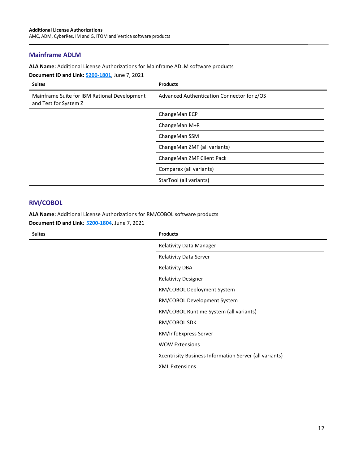#### <span id="page-11-0"></span>**Mainframe ADLM**

**ALA Name:** Additional License Authorizations for Mainframe ADLM software products

**Document ID and Link: [5200-1801](https://www.microfocus.com/media/documentation/additional-license-authorizations-for-mainframe-adlm-software-products-documentation.pdf)**, June 7, 2021

| <b>Suites</b>                                                         | <b>Products</b>                            |
|-----------------------------------------------------------------------|--------------------------------------------|
| Mainframe Suite for IBM Rational Development<br>and Test for System Z | Advanced Authentication Connector for z/OS |
|                                                                       | ChangeMan ECP                              |
|                                                                       | ChangeMan M+R                              |
|                                                                       | ChangeMan SSM                              |
|                                                                       | ChangeMan ZMF (all variants)               |
|                                                                       | ChangeMan ZMF Client Pack                  |
|                                                                       | Comparex (all variants)                    |
|                                                                       | StarTool (all variants)                    |

## <span id="page-11-1"></span>**RM/COBOL**

**ALA Name:** Additional License Authorizations for RM/COBOL software products

**Document ID and Link: [5200-1804](https://www.microfocus.com/media/documentation/additional-license-authorizations-for-rm-cobol-software-products-documentation.pdf)**, June 7, 2021

| <b>Suites</b> | <b>Products</b>                                        |
|---------------|--------------------------------------------------------|
|               | Relativity Data Manager                                |
|               | <b>Relativity Data Server</b>                          |
|               | <b>Relativity DBA</b>                                  |
|               | <b>Relativity Designer</b>                             |
|               | RM/COBOL Deployment System                             |
|               | RM/COBOL Development System                            |
|               | RM/COBOL Runtime System (all variants)                 |
|               | RM/COBOL SDK                                           |
|               | RM/InfoExpress Server                                  |
|               | <b>WOW Extensions</b>                                  |
|               | Xcentrisity Business Information Server (all variants) |
|               | <b>XML Extensions</b>                                  |
|               |                                                        |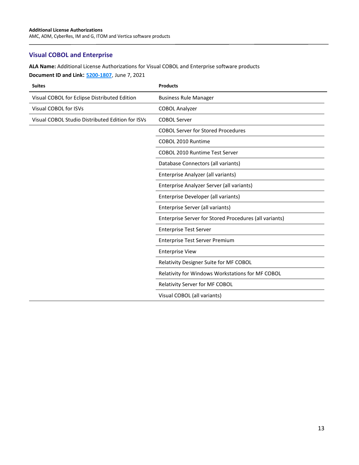## <span id="page-12-0"></span>**Visual COBOL and Enterprise**

**ALA Name:** Additional License Authorizations for Visual COBOL and Enterprise software products

**Document ID and Link: [5200-1807](https://www.microfocus.com/media/documentation/additional-license-authorizations-for-visual-cobol-and-enterprise-software-products-documentation.pdf)**, June 7, 2021

| <b>Suites</b>                                    | <b>Products</b>                                        |
|--------------------------------------------------|--------------------------------------------------------|
| Visual COBOL for Eclipse Distributed Edition     | <b>Business Rule Manager</b>                           |
| Visual COBOL for ISVs                            | <b>COBOL Analyzer</b>                                  |
| Visual COBOL Studio Distributed Edition for ISVs | <b>COBOL Server</b>                                    |
|                                                  | <b>COBOL Server for Stored Procedures</b>              |
|                                                  | COBOL 2010 Runtime                                     |
|                                                  | <b>COBOL 2010 Runtime Test Server</b>                  |
|                                                  | Database Connectors (all variants)                     |
|                                                  | Enterprise Analyzer (all variants)                     |
|                                                  | Enterprise Analyzer Server (all variants)              |
|                                                  | Enterprise Developer (all variants)                    |
|                                                  | Enterprise Server (all variants)                       |
|                                                  | Enterprise Server for Stored Procedures (all variants) |
|                                                  | <b>Enterprise Test Server</b>                          |
|                                                  | <b>Enterprise Test Server Premium</b>                  |
|                                                  | <b>Enterprise View</b>                                 |
|                                                  | Relativity Designer Suite for MF COBOL                 |
|                                                  | Relativity for Windows Workstations for MF COBOL       |
|                                                  | Relativity Server for MF COBOL                         |
|                                                  | Visual COBOL (all variants)                            |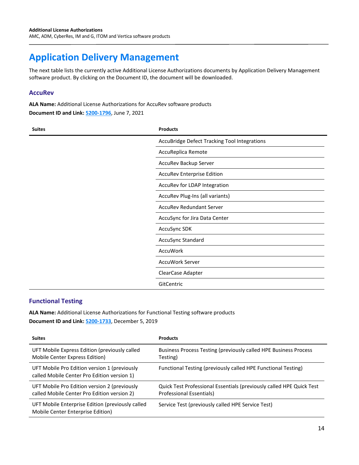# <span id="page-13-0"></span>**Application Delivery Management**

The next table lists the currently active Additional License Authorizations documents by Application Delivery Management software product. By clicking on the Document ID, the document will be downloaded.

#### <span id="page-13-1"></span>**AccuRev**

**ALA Name:** Additional License Authorizations for AccuRev software products

**Document ID and Link: [5200-1796](https://www.microfocus.com/media/documentation/additional-license-authorizations-for-accurev-software-products-documentation.pdf)**, June 7, 2021

| <b>Suites</b> | <b>Products</b>                              |
|---------------|----------------------------------------------|
|               | AccuBridge Defect Tracking Tool Integrations |
|               | AccuReplica Remote                           |
|               | AccuRev Backup Server                        |
|               | <b>AccuRev Enterprise Edition</b>            |
|               | AccuRev for LDAP Integration                 |
|               | AccuRev Plug-Ins (all variants)              |
|               | <b>AccuRev Redundant Server</b>              |
|               | AccuSync for Jira Data Center                |
|               | AccuSync SDK                                 |
|               | AccuSync Standard                            |
|               | AccuWork                                     |
|               | AccuWork Server                              |
|               | ClearCase Adapter                            |
|               | GitCentric                                   |

#### <span id="page-13-2"></span>**Functional Testing**

**ALA Name:** Additional License Authorizations for Functional Testing software products

**Document ID and Link: [5200-1733](https://www.microfocus.com/media/documentation/additional-license-authorizations-for-functional-testing-software-products-documentation.pdf)**, December 5, 2019

| <b>Suites</b>                                                                               | <b>Products</b>                                                                                  |
|---------------------------------------------------------------------------------------------|--------------------------------------------------------------------------------------------------|
| UFT Mobile Express Edition (previously called<br>Mobile Center Express Edition)             | Business Process Testing (previously called HPE Business Process<br>Testing)                     |
| UFT Mobile Pro Edition version 1 (previously<br>called Mobile Center Pro Edition version 1) | Functional Testing (previously called HPE Functional Testing)                                    |
| UFT Mobile Pro Edition version 2 (previously<br>called Mobile Center Pro Edition version 2) | Quick Test Professional Essentials (previously called HPE Quick Test<br>Professional Essentials) |
| UFT Mobile Enterprise Edition (previously called<br>Mobile Center Enterprise Edition)       | Service Test (previously called HPE Service Test)                                                |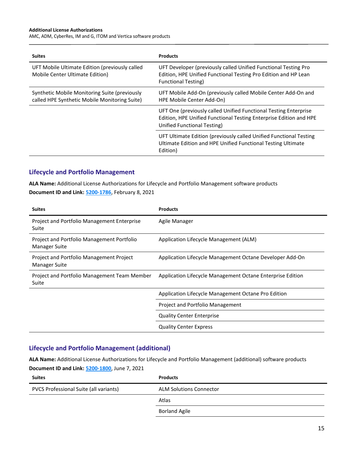AMC, ADM, CyberRes, IM and G, ITOM and Vertica software products

| <b>Suites</b>                                                                                  | <b>Products</b>                                                                                                                                                       |
|------------------------------------------------------------------------------------------------|-----------------------------------------------------------------------------------------------------------------------------------------------------------------------|
| UFT Mobile Ultimate Edition (previously called<br>Mobile Center Ultimate Edition)              | UFT Developer (previously called Unified Functional Testing Pro<br>Edition, HPE Unified Functional Testing Pro Edition and HP Lean<br><b>Functional Testing)</b>      |
| Synthetic Mobile Monitoring Suite (previously<br>called HPE Synthetic Mobile Monitoring Suite) | UFT Mobile Add-On (previously called Mobile Center Add-On and<br>HPE Mobile Center Add-On)                                                                            |
|                                                                                                | UFT One (previously called Unified Functional Testing Enterprise<br>Edition, HPE Unified Functional Testing Enterprise Edition and HPE<br>Unified Functional Testing) |
|                                                                                                | UFT Ultimate Edition (previously called Unified Functional Testing<br>Ultimate Edition and HPE Unified Functional Testing Ultimate<br>Edition)                        |

#### <span id="page-14-0"></span>**Lifecycle and Portfolio Management**

**ALA Name:** Additional License Authorizations for Lifecycle and Portfolio Management software products **Document ID and Link: [5200-1786](https://www.microfocus.com/media/documentation/additional-license-authorizations-for-lifecycle-and-portfolio-management-software-products-documentation.pdf)**, February 8, 2021

| <b>Suites</b>                                                      | <b>Products</b>                                            |
|--------------------------------------------------------------------|------------------------------------------------------------|
| Project and Portfolio Management Enterprise<br>Suite               | Agile Manager                                              |
| Project and Portfolio Management Portfolio<br><b>Manager Suite</b> | Application Lifecycle Management (ALM)                     |
| Project and Portfolio Management Project<br>Manager Suite          | Application Lifecycle Management Octane Developer Add-On   |
| Project and Portfolio Management Team Member<br>Suite              | Application Lifecycle Management Octane Enterprise Edition |
|                                                                    | Application Lifecycle Management Octane Pro Edition        |
|                                                                    | Project and Portfolio Management                           |
|                                                                    | <b>Quality Center Enterprise</b>                           |
|                                                                    | <b>Quality Center Express</b>                              |

#### <span id="page-14-1"></span>**Lifecycle and Portfolio Management (additional)**

**ALA Name:** Additional License Authorizations for Lifecycle and Portfolio Management (additional) software products **Document ID and Link: [5200-1800](https://www.microfocus.com/media/documentation/additional-license-authorizations-for-lifecycle-and-portfolio-management-software-products-additional-documentation.pdf)**, June 7, 2021

| <b>Suites</b>                          | <b>Products</b>                |
|----------------------------------------|--------------------------------|
| PVCS Professional Suite (all variants) | <b>ALM Solutions Connector</b> |
|                                        | Atlas                          |
|                                        | <b>Borland Agile</b>           |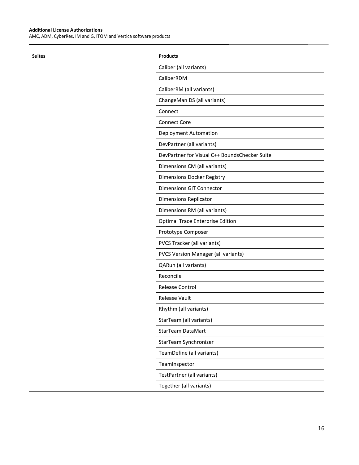$\overline{a}$ 

AMC, ADM, CyberRes, IM and G, ITOM and Vertica software products

| <b>Suites</b> | <b>Products</b>                               |
|---------------|-----------------------------------------------|
|               | Caliber (all variants)                        |
|               | CaliberRDM                                    |
|               | CaliberRM (all variants)                      |
|               | ChangeMan DS (all variants)                   |
|               | Connect                                       |
|               | <b>Connect Core</b>                           |
|               | Deployment Automation                         |
|               | DevPartner (all variants)                     |
|               | DevPartner for Visual C++ BoundsChecker Suite |
|               | Dimensions CM (all variants)                  |
|               | Dimensions Docker Registry                    |
|               | <b>Dimensions GIT Connector</b>               |
|               | <b>Dimensions Replicator</b>                  |
|               | Dimensions RM (all variants)                  |
|               | Optimal Trace Enterprise Edition              |
|               | Prototype Composer                            |
|               | PVCS Tracker (all variants)                   |
|               | PVCS Version Manager (all variants)           |
|               | QARun (all variants)                          |
|               | Reconcile                                     |
|               | Release Control                               |
|               | Release Vault                                 |
|               | Rhythm (all variants)                         |
|               | StarTeam (all variants)                       |
|               | StarTeam DataMart                             |
|               | StarTeam Synchronizer                         |
|               | TeamDefine (all variants)                     |
|               | TeamInspector                                 |
|               | TestPartner (all variants)                    |
|               | Together (all variants)                       |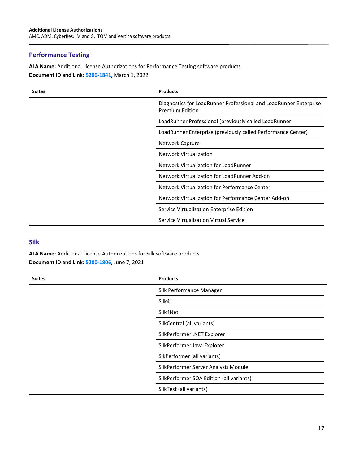#### <span id="page-16-0"></span>**Performance Testing**

**ALA Name:** Additional License Authorizations for Performance Testing software products **Document ID and Link: [5200-1841](https://www.microfocus.com/media/documentation/additional-license-authorizations-for-performance-testing-software-products-documentation.pdf)**, March 1, 2022

| <b>Suites</b> | <b>Products</b>                                                                             |
|---------------|---------------------------------------------------------------------------------------------|
|               | Diagnostics for LoadRunner Professional and LoadRunner Enterprise<br><b>Premium Edition</b> |
|               | LoadRunner Professional (previously called LoadRunner)                                      |
|               | LoadRunner Enterprise (previously called Performance Center)                                |
|               | Network Capture                                                                             |
|               | <b>Network Virtualization</b>                                                               |
|               | Network Virtualization for LoadRunner                                                       |
|               | Network Virtualization for LoadRunner Add-on                                                |
|               | Network Virtualization for Performance Center                                               |
|               | Network Virtualization for Performance Center Add-on                                        |
|               | Service Virtualization Enterprise Edition                                                   |
|               | Service Virtualization Virtual Service                                                      |

#### <span id="page-16-1"></span>**Silk**

**ALA Name:** Additional License Authorizations for Silk software products **Document ID and Link: [5200-1806](https://www.microfocus.com/media/documentation/additional-license-authorizations-for-silk-software-products-documentation.pdf)**, June 7, 2021

| <b>Suites</b> | <b>Products</b>                          |
|---------------|------------------------------------------|
|               | Silk Performance Manager                 |
|               | Silk4J                                   |
|               | Silk4Net                                 |
|               | SilkCentral (all variants)               |
|               | SilkPerformer .NET Explorer              |
|               | SilkPerformer Java Explorer              |
|               | SikPerformer (all variants)              |
|               | SilkPerformer Server Analysis Module     |
|               | SilkPerformer SOA Edition (all variants) |
|               | SilkTest (all variants)                  |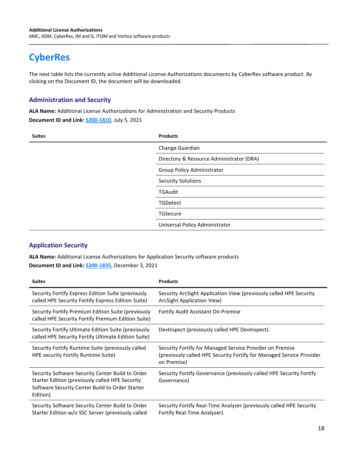# <span id="page-17-0"></span>**CyberRes**

The next table lists the currently active Additional License Authorizations documents by CyberRes software product. By clicking on the Document ID, the document will be downloaded.

#### <span id="page-17-1"></span>**Administration and Security**

**ALA Name:** Additional License Authorizations for Administration and Security Products

**Document ID and Link: [5200-1810](https://www.microfocus.com/pnx/media/documentation/additional-license-authorizations-for-administration-and-security-products-documentation.pdf)**, July 5, 2021

| <b>Suites</b> | <b>Products</b>                          |
|---------------|------------------------------------------|
|               | Change Guardian                          |
|               | Directory & Resource Administrator (DRA) |
|               | Group Policy Administrator               |
|               | <b>Security Solutions</b>                |
|               | <b>TGAudit</b>                           |
|               | <b>TGDetect</b>                          |
|               | TGSecure                                 |
|               | Universal Policy Administrator           |

#### <span id="page-17-2"></span>**Application Security**

**ALA Name:** Additional License Authorizations for Application Security software products **Document ID and Link: [5200-1835](https://www.microfocus.com/media/documentation/additional-license-authorizations-for-application-security-software-products-documentation.pdf)**, December 3, 2021

| <b>Suites</b>                                                                                                                                                      | <b>Products</b>                                                                                                                                 |
|--------------------------------------------------------------------------------------------------------------------------------------------------------------------|-------------------------------------------------------------------------------------------------------------------------------------------------|
| Security Fortify Express Edition Suite (previously<br>called HPE Security Fortify Express Edition Suite)                                                           | Security ArcSight Application View (previously called HPE Security<br>ArcSight Application View)                                                |
| Security Fortify Premium Edition Suite (previously<br>called HPE Security Fortify Premium Edition Suite)                                                           | Fortify Audit Assistant On-Premise                                                                                                              |
| Security Fortify Ultimate Edition Suite (previously<br>called HPE Security Fortify Ultimate Edition Suite)                                                         | Devinspect (previously called HPE Devinspect)                                                                                                   |
| Security Fortify Runtime Suite (previously called<br>HPE security Fortify Runtime Suite)                                                                           | Security Fortify for Managed Service Provider on Premise<br>(previously called HPE Security Fortify for Managed Service Provider<br>on Premise) |
| Security Software Security Center Build to Order<br>Starter Edition (previously called HPE Security<br>Software Security Center Build to Order Starter<br>Edition) | Security Fortify Governance (previously called HPE Security Fortify<br>Governance)                                                              |
| Security Software Security Center Build to Order<br>Starter Edition w/o SSC Server (previously called                                                              | Security Fortify Real-Time Analyzer (previously called HPE Security<br>Fortify Real-Time Analyzer).                                             |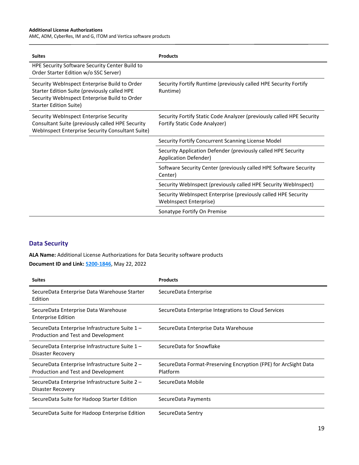AMC, ADM, CyberRes, IM and G, ITOM and Vertica software products

| <b>Suites</b>                                                                                                                                                            | <b>Products</b>                                                                                        |
|--------------------------------------------------------------------------------------------------------------------------------------------------------------------------|--------------------------------------------------------------------------------------------------------|
| HPE Security Software Security Center Build to<br>Order Starter Edition w/o SSC Server)                                                                                  |                                                                                                        |
| Security WebInspect Enterprise Build to Order<br>Starter Edition Suite (previously called HPE<br>Security WebInspect Enterprise Build to Order<br>Starter Edition Suite) | Security Fortify Runtime (previously called HPE Security Fortify<br>Runtime)                           |
| Security WebInspect Enterprise Security<br>Consultant Suite (previously called HPE Security<br>WebInspect Enterprise Security Consultant Suite)                          | Security Fortify Static Code Analyzer (previously called HPE Security<br>Fortify Static Code Analyzer) |
|                                                                                                                                                                          | Security Fortify Concurrent Scanning License Model                                                     |
|                                                                                                                                                                          | Security Application Defender (previously called HPE Security<br>Application Defender)                 |
|                                                                                                                                                                          | Software Security Center (previously called HPE Software Security<br>Center)                           |
|                                                                                                                                                                          | Security WebInspect (previously called HPE Security WebInspect)                                        |
|                                                                                                                                                                          | Security WebInspect Enterprise (previously called HPE Security<br><b>WebInspect Enterprise)</b>        |
|                                                                                                                                                                          | Sonatype Fortify On Premise                                                                            |

## <span id="page-18-0"></span>**Data Security**

**ALA Name:** Additional License Authorizations for Data Security software products **Document ID and Link: [5200-1846](https://www.microfocus.com/media/documentation/additional-license-authorizations-for-data-security-software-products-documentation.pdf)**, May 22, 2022

| <b>Suites</b>                                                                         | <b>Products</b>                                                             |
|---------------------------------------------------------------------------------------|-----------------------------------------------------------------------------|
| SecureData Enterprise Data Warehouse Starter<br>Edition                               | SecureData Enterprise                                                       |
| SecureData Enterprise Data Warehouse<br><b>Enterprise Edition</b>                     | SecureData Enterprise Integrations to Cloud Services                        |
| SecureData Enterprise Infrastructure Suite 1-<br>Production and Test and Development  | SecureData Enterprise Data Warehouse                                        |
| SecureData Enterprise Infrastructure Suite 1-<br>Disaster Recovery                    | SecureData for Snowflake                                                    |
| SecureData Enterprise Infrastructure Suite 2 -<br>Production and Test and Development | SecureData Format-Preserving Encryption (FPE) for ArcSight Data<br>Platform |
| SecureData Enterprise Infrastructure Suite 2-<br>Disaster Recovery                    | SecureData Mobile                                                           |
| SecureData Suite for Hadoop Starter Edition                                           | SecureData Payments                                                         |
| SecureData Suite for Hadoop Enterprise Edition                                        | SecureData Sentry                                                           |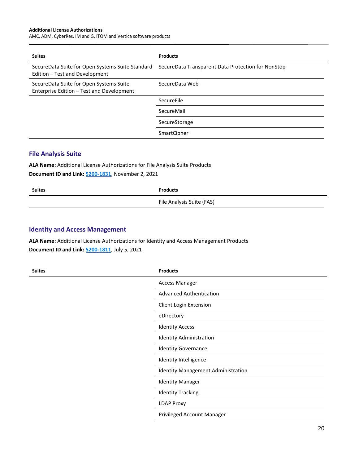AMC, ADM, CyberRes, IM and G, ITOM and Vertica software products

| <b>Suites</b>                                                                        | <b>Products</b>                                    |
|--------------------------------------------------------------------------------------|----------------------------------------------------|
| SecureData Suite for Open Systems Suite Standard<br>Edition - Test and Development   | SecureData Transparent Data Protection for NonStop |
| SecureData Suite for Open Systems Suite<br>Enterprise Edition - Test and Development | SecureData Web                                     |
|                                                                                      | SecureFile                                         |
|                                                                                      | SecureMail                                         |
|                                                                                      | SecureStorage                                      |
|                                                                                      | SmartCipher                                        |

#### <span id="page-19-0"></span>**File Analysis Suite**

**ALA Name:** Additional License Authorizations for File Analysis Suite Products **Document ID and Link: [5200-1831](https://www.microfocus.com/media/documentation/additional-license-authorizations-for-file-analysis-suite-products-documentation.pdf)**, November 2, 2021

| <b>Suites</b> | <b>Products</b>           |
|---------------|---------------------------|
|               | File Analysis Suite (FAS) |
|               |                           |

#### <span id="page-19-1"></span>**Identity and Access Management**

**ALA Name:** Additional License Authorizations for Identity and Access Management Products **Document ID and Link: [5200-1811](https://www.microfocus.com/pnx/media/documentation/additional-license-authorizations-for-identity-and-access-management-products-documentation.pdf)**, July 5, 2021

| <b>Suites</b> | <b>Products</b>                           |
|---------------|-------------------------------------------|
|               | <b>Access Manager</b>                     |
|               | <b>Advanced Authentication</b>            |
|               | Client Login Extension                    |
|               | eDirectory                                |
|               | <b>Identity Access</b>                    |
|               | <b>Identity Administration</b>            |
|               | <b>Identity Governance</b>                |
|               | Identity Intelligence                     |
|               | <b>Identity Management Administration</b> |
|               | <b>Identity Manager</b>                   |
|               | <b>Identity Tracking</b>                  |
|               | <b>LDAP Proxy</b>                         |
|               | Privileged Account Manager                |
|               |                                           |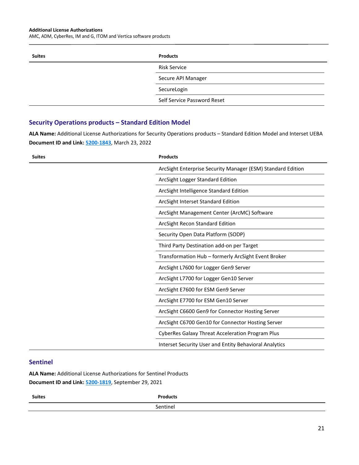AMC, ADM, CyberRes, IM and G, ITOM and Vertica software products

| <b>Suites</b> | <b>Products</b>             |
|---------------|-----------------------------|
|               | <b>Risk Service</b>         |
|               | Secure API Manager          |
|               | SecureLogin                 |
|               | Self Service Password Reset |

#### <span id="page-20-0"></span>**Security Operations products – Standard Edition Model**

**ALA Name:** Additional License Authorizations for Security Operations products – Standard Edition Model and Interset UEBA **Document ID and Link: [5200-1843](https://www.microfocus.com/media/documentation/additional-license-authorizations-for-security-operations-products-standard-edition-model-and-interset-ueba-documentation.pdf)**, March 23, 2022

| <b>Suites</b> | <b>Products</b>                                               |
|---------------|---------------------------------------------------------------|
|               | ArcSight Enterprise Security Manager (ESM) Standard Edition   |
|               | ArcSight Logger Standard Edition                              |
|               | ArcSight Intelligence Standard Edition                        |
|               | ArcSight Interset Standard Edition                            |
|               | ArcSight Management Center (ArcMC) Software                   |
|               | ArcSight Recon Standard Edition                               |
|               | Security Open Data Platform (SODP)                            |
|               | Third Party Destination add-on per Target                     |
|               | Transformation Hub - formerly ArcSight Event Broker           |
|               | ArcSight L7600 for Logger Gen9 Server                         |
|               | ArcSight L7700 for Logger Gen10 Server                        |
|               | ArcSight E7600 for ESM Gen9 Server                            |
|               | ArcSight E7700 for ESM Gen10 Server                           |
|               | ArcSight C6600 Gen9 for Connector Hosting Server              |
|               | ArcSight C6700 Gen10 for Connector Hosting Server             |
|               | CyberRes Galaxy Threat Acceleration Program Plus              |
|               | <b>Interset Security User and Entity Behavioral Analytics</b> |

#### <span id="page-20-1"></span>**Sentinel**

**ALA Name:** Additional License Authorizations for Sentinel Products **Document ID and Link: [5200-1819](https://www.microfocus.com/pnx/media/documentation/additional-license-authorizations-for-sentinel-products-documentation.pdf)**, September 29, 2021

| <b>Suites</b> | <b>Products</b> |
|---------------|-----------------|
|               | Sentinel        |
|               |                 |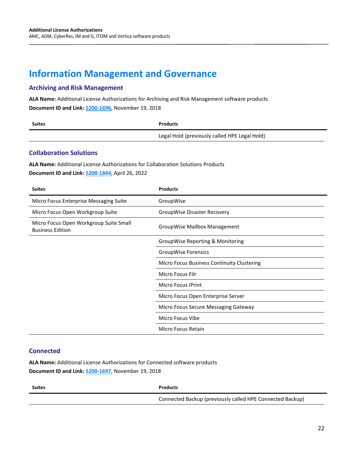# <span id="page-21-0"></span>**Information Management and Governance**

## <span id="page-21-1"></span>**Archiving and Risk Management**

**ALA Name:** Additional License Authorizations for Archiving and Risk Management software products **Document ID and Link: [5200-1696](https://www.microfocus.com/media/documentation/additional-license-authorizations-for-archiving-and-risk-management-software-products-documentation.pdf)**, November 19, 2018

| <b>Suites</b> | Products                                      |
|---------------|-----------------------------------------------|
|               | Legal Hold (previously called HPE Legal Hold) |

#### <span id="page-21-2"></span>**Collaboration Solutions**

**ALA Name:** Additional License Authorizations for Collaboration Solutions Products **Document ID and Link: [5200-1844](https://www.microfocus.com/pnx/media/documentation/additional-license-authorization-for-collaboration-solutions-products-documentation.pdf)**, April 26, 2022

| <b>Suites</b>                                                     | <b>Products</b>                            |
|-------------------------------------------------------------------|--------------------------------------------|
| Micro Focus Enterprise Messaging Suite                            | GroupWise                                  |
| Micro Focus Open Workgroup Suite                                  | GroupWise Disaster Recovery                |
| Micro Focus Open Workgroup Suite Small<br><b>Business Edition</b> | GroupWise Mailbox Management               |
|                                                                   | GroupWise Reporting & Monitoring           |
|                                                                   | <b>GroupWise Forensics</b>                 |
|                                                                   | Micro Focus Business Continuity Clustering |
|                                                                   | Micro Focus Filr                           |
|                                                                   | Micro Focus iPrint                         |
|                                                                   | Micro Focus Open Enterprise Server         |
|                                                                   | Micro Focus Secure Messaging Gateway       |
|                                                                   | Micro Focus Vibe                           |
|                                                                   | Micro Focus Retain                         |

#### <span id="page-21-3"></span>**Connected**

**ALA Name:** Additional License Authorizations for Connected software products **Document ID and Link: [5200-1697](https://www.microfocus.com/media/documentation/additional-license-authorizations-for-connected-software-products-documentation.pdf)**, November 19, 2018

| <b>Suites</b> | <b>Products</b>                                           |
|---------------|-----------------------------------------------------------|
|               | Connected Backup (previously called HPE Connected Backup) |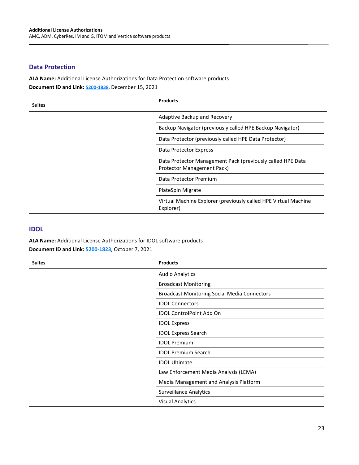#### <span id="page-22-0"></span>**Data Protection**

**ALA Name:** Additional License Authorizations for Data Protection software products **Document ID and Link: [5200-1838](https://www.microfocus.com/pnx/media/documentation/additional-license-authorizations-for-data-protection-software-products-documentation.pdf)**, December 15, 2021

| <b>Suites</b> | <b>Products</b>                                                                          |
|---------------|------------------------------------------------------------------------------------------|
|               | Adaptive Backup and Recovery                                                             |
|               | Backup Navigator (previously called HPE Backup Navigator)                                |
|               | Data Protector (previously called HPE Data Protector)                                    |
|               | Data Protector Express                                                                   |
|               | Data Protector Management Pack (previously called HPE Data<br>Protector Management Pack) |
|               | Data Protector Premium                                                                   |
|               | PlateSpin Migrate                                                                        |
|               | Virtual Machine Explorer (previously called HPE Virtual Machine<br>Explorer)             |

#### <span id="page-22-1"></span>**IDOL**

**ALA Name:** Additional License Authorizations for IDOL software products **Document ID and Link: [5200-1823](https://www.microfocus.com/pnx/media/documentation/additional-license-authorizations-for-idol-software-products-documentation.pdf)**, October 7, 2021

| <b>Suites</b> | <b>Products</b>                                     |
|---------------|-----------------------------------------------------|
|               | <b>Audio Analytics</b>                              |
|               | <b>Broadcast Monitoring</b>                         |
|               | <b>Broadcast Monitoring Social Media Connectors</b> |
|               | <b>IDOL Connectors</b>                              |
|               | <b>IDOL ControlPoint Add On</b>                     |
|               | <b>IDOL Express</b>                                 |
|               | <b>IDOL Express Search</b>                          |
|               | <b>IDOL Premium</b>                                 |
|               | <b>IDOL Premium Search</b>                          |
|               | <b>IDOL Ultimate</b>                                |
|               | Law Enforcement Media Analysis (LEMA)               |
|               | Media Management and Analysis Platform              |
|               | <b>Surveillance Analytics</b>                       |
|               | <b>Visual Analytics</b>                             |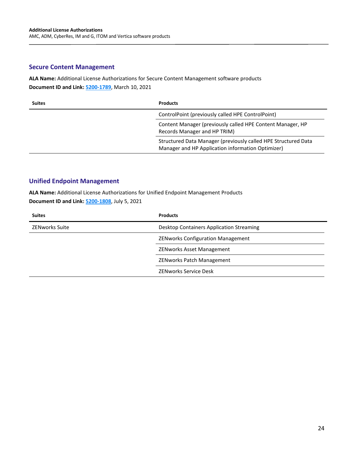## <span id="page-23-0"></span>**Secure Content Management**

**ALA Name:** Additional License Authorizations for Secure Content Management software products **Document ID and Link: [5200-1789](https://www.microfocus.com/media/documentation/additional-license-authorizations-for-secure-content-management-software-products-documentation.pdf)**, March 10, 2021

| <b>Suites</b> | <b>Products</b>                                                                                                     |
|---------------|---------------------------------------------------------------------------------------------------------------------|
|               | ControlPoint (previously called HPE ControlPoint)                                                                   |
|               | Content Manager (previously called HPE Content Manager, HP<br>Records Manager and HP TRIM)                          |
|               | Structured Data Manager (previously called HPE Structured Data<br>Manager and HP Application information Optimizer) |

#### <span id="page-23-1"></span>**Unified Endpoint Management**

**ALA Name:** Additional License Authorizations for Unified Endpoint Management Products **Document ID and Link: [5200-1808](https://www.microfocus.com/pnx/media/documentation/additional-license-authorizations-for-unified-endpoint-management-products-documentation.pdf)**, July 5, 2021

| <b>Suites</b>         | <b>Products</b>                          |
|-----------------------|------------------------------------------|
| <b>ZENworks Suite</b> | Desktop Containers Application Streaming |
|                       | <b>ZENworks Configuration Management</b> |
|                       | <b>ZENworks Asset Management</b>         |
|                       | <b>ZENworks Patch Management</b>         |
|                       | <b>ZENworks Service Desk</b>             |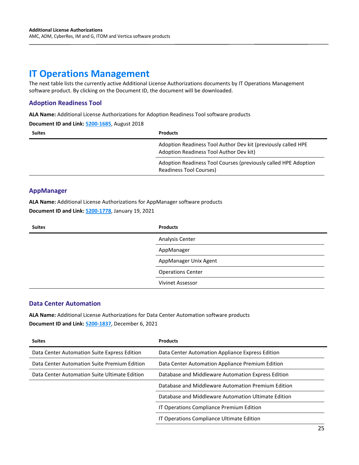# <span id="page-24-0"></span>**IT Operations Management**

The next table lists the currently active Additional License Authorizations documents by IT Operations Management software product. By clicking on the Document ID, the document will be downloaded.

#### <span id="page-24-1"></span>**Adoption Readiness Tool**

**ALA Name:** Additional License Authorizations for Adoption Readiness Tool software products

**Document ID and Link: [5200-1685](https://www.microfocus.com/media/documentation/additional-license-authorizations-for-adoption-readiness-tool-software-products-documentation.pdf)**, August 2018

| <b>Suites</b> | <b>Products</b>                                                                                          |
|---------------|----------------------------------------------------------------------------------------------------------|
|               | Adoption Readiness Tool Author Dev kit (previously called HPE<br>Adoption Readiness Tool Author Dev kit) |
|               | Adoption Readiness Tool Courses (previously called HPE Adoption<br>Readiness Tool Courses)               |

#### <span id="page-24-2"></span>**AppManager**

**ALA Name:** Additional License Authorizations for AppManager software products **Document ID and Link: [5200-1778](https://www.microfocus.com/media/documentation/additional-license-authorizations-for-appmanager-software-products-documentation.pdf)**, January 19, 2021

| <b>Suites</b> | <b>Products</b>          |
|---------------|--------------------------|
|               | Analysis Center          |
|               | AppManager               |
|               | AppManager Unix Agent    |
|               | <b>Operations Center</b> |
|               | <b>Vivinet Assessor</b>  |

#### <span id="page-24-3"></span>**Data Center Automation**

**ALA Name:** Additional License Authorizations for Data Center Automation software products **Document ID and Link: [5200-1837](https://www.microfocus.com/pnx/media/documentation/additional-license-authorizations-for-data-center-automation-software-products-documentation.pdf)**, December 6, 2021

| <b>Suites</b>                                 | <b>Products</b>                                     |
|-----------------------------------------------|-----------------------------------------------------|
| Data Center Automation Suite Express Edition  | Data Center Automation Appliance Express Edition    |
| Data Center Automation Suite Premium Edition  | Data Center Automation Appliance Premium Edition    |
| Data Center Automation Suite Ultimate Edition | Database and Middleware Automation Express Edition  |
|                                               | Database and Middleware Automation Premium Edition  |
|                                               | Database and Middleware Automation Ultimate Edition |
|                                               | IT Operations Compliance Premium Edition            |
|                                               | IT Operations Compliance Ultimate Edition           |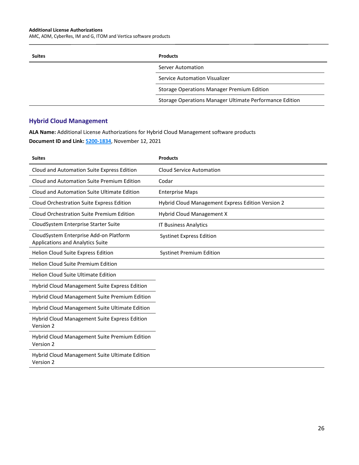AMC, ADM, CyberRes, IM and G, ITOM and Vertica software products

| <b>Suites</b> | <b>Products</b>                                         |
|---------------|---------------------------------------------------------|
|               | Server Automation                                       |
|               | Service Automation Visualizer                           |
|               | <b>Storage Operations Manager Premium Edition</b>       |
|               | Storage Operations Manager Ultimate Performance Edition |

## <span id="page-25-0"></span>**Hybrid Cloud Management**

**ALA Name:** Additional License Authorizations for Hybrid Cloud Management software products **Document ID and Link: [5200-1834](https://www.microfocus.com/media/documentation/additional-license-authorizations-for-hybrid-cloud-management-software-products-documentation.pdf)**, November 12, 2021

| <b>Suites</b>                                                                     | <b>Products</b>                                   |
|-----------------------------------------------------------------------------------|---------------------------------------------------|
| Cloud and Automation Suite Express Edition                                        | <b>Cloud Service Automation</b>                   |
| Cloud and Automation Suite Premium Edition                                        | Codar                                             |
| Cloud and Automation Suite Ultimate Edition                                       | <b>Enterprise Maps</b>                            |
| Cloud Orchestration Suite Express Edition                                         | Hybrid Cloud Management Express Edition Version 2 |
| Cloud Orchestration Suite Premium Edition                                         | Hybrid Cloud Management X                         |
| Cloud System Enterprise Starter Suite                                             | <b>IT Business Analytics</b>                      |
| CloudSystem Enterprise Add-on Platform<br><b>Applications and Analytics Suite</b> | <b>Systinet Express Edition</b>                   |
| Helion Cloud Suite Express Edition                                                | <b>Systinet Premium Edition</b>                   |
| <b>Helion Cloud Suite Premium Edition</b>                                         |                                                   |
| <b>Helion Cloud Suite Ultimate Edition</b>                                        |                                                   |
| <b>Hybrid Cloud Management Suite Express Edition</b>                              |                                                   |
| Hybrid Cloud Management Suite Premium Edition                                     |                                                   |
| <b>Hybrid Cloud Management Suite Ultimate Edition</b>                             |                                                   |
| <b>Hybrid Cloud Management Suite Express Edition</b><br>Version 2                 |                                                   |
| Hybrid Cloud Management Suite Premium Edition<br>Version 2                        |                                                   |
| <b>Hybrid Cloud Management Suite Ultimate Edition</b><br>Version 2                |                                                   |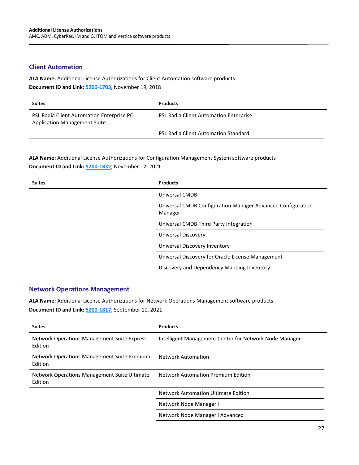#### <span id="page-26-0"></span>**Client Automation**

**ALA Name:** Additional License Authorizations for Client Automation software products **Document ID and Link: [5200-1703](https://www.microfocus.com/media/documentation/additional-license-authorizations-for-client-automation-software-products-documentation.pdf)**, November 19, 2018

| <b>Suites</b>                                                                    | <b>Products</b>                             |
|----------------------------------------------------------------------------------|---------------------------------------------|
| PSL Radia Client Automation Enterprise PC<br><b>Application Management Suite</b> | PSL Radia Client Automation Enterprise      |
|                                                                                  | <b>PSL Radia Client Automation Standard</b> |

**ALA Name:** Additional License Authorizations for Configuration Management System software products **Document ID and Link: [5200-1832](https://www.microfocus.com/media/documentation/additional-license-authorizations-for-configuration-management-system-products-documentation.pdf)**, November 12, 2021

| <b>Suites</b> | <b>Products</b>                                                        |
|---------------|------------------------------------------------------------------------|
|               | Universal CMDB                                                         |
|               | Universal CMDB Configuration Manager Advanced Configuration<br>Manager |
|               | Universal CMDB Third Party Integration                                 |
|               | Universal Discovery                                                    |
|               | Universal Discovery Inventory                                          |
|               | Universal Discovery for Oracle License Management                      |
|               | Discovery and Dependency Mapping Inventory                             |

#### <span id="page-26-1"></span>**Network Operations Management**

**ALA Name:** Additional License Authorizations for Network Operations Management software products **Document ID and Link: [5200-1817](https://www.microfocus.com/pnx/media/documentation/additional-license-authorizations-for-network-operations-management-software-products-documentation.pdf)**, September 10, 2021

| <b>Suites</b>                                           | <b>Products</b>                                          |
|---------------------------------------------------------|----------------------------------------------------------|
| Network Operations Management Suite Express<br>Edition  | Intelligent Management Center for Network Node Manager i |
| Network Operations Management Suite Premium<br>Edition  | <b>Network Automation</b>                                |
| Network Operations Management Suite Ultimate<br>Edition | <b>Network Automation Premium Edition</b>                |
|                                                         | Network Automation Ultimate Edition                      |
|                                                         | Network Node Manager i                                   |
|                                                         | Network Node Manager i Advanced                          |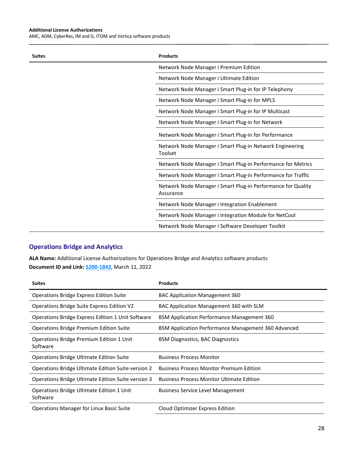AMC, ADM, CyberRes, IM and G, ITOM and Vertica software products

| <b>Suites</b> | <b>Products</b>                                                           |
|---------------|---------------------------------------------------------------------------|
|               | Network Node Manager i Premium Edition                                    |
|               | Network Node Manager i Ultimate Edition                                   |
|               | Network Node Manager i Smart Plug-in for IP Telephony                     |
|               | Network Node Manager i Smart Plug-in for MPLS                             |
|               | Network Node Manager i Smart Plug-in for IP Multicast                     |
|               | Network Node Manager i Smart Plug-in for Network                          |
|               | Network Node Manager i Smart Plug-in for Performance                      |
|               | Network Node Manager i Smart Plug-in Network Engineering<br>Toolset       |
|               | Network Node Manager i Smart Plug-in Performance for Metrics              |
|               | Network Node Manager i Smart Plug-in Performance for Traffic              |
|               | Network Node Manager i Smart Plug-in Performance for Quality<br>Assurance |
|               | Network Node Manager i Integration Enablement                             |
|               | Network Node Manager i Integration Module for NetCool                     |
|               | Network Node Manager i Software Developer Toolkit                         |

## <span id="page-27-0"></span>**Operations Bridge and Analytics**

**ALA Name:** Additional License Authorizations for Operations Bridge and Analytics software products **Document ID and Link: [5200-1842](https://www.microfocus.com/pnx/media/documentation/additional-license-authorizations-for-operations-bridge-and-analytics-software-products-documentation.pdf)**, March 11, 2022

| <b>Suites</b>                                         | <b>Products</b>                                     |
|-------------------------------------------------------|-----------------------------------------------------|
| <b>Operations Bridge Express Edition Suite</b>        | <b>BAC Application Management 360</b>               |
| Operations Bridge Suite Express Edition V2            | BAC Application Management 360 with SLM             |
| Operations Bridge Express Edition 1 Unit Software     | <b>BSM Application Performance Management 360</b>   |
| <b>Operations Bridge Premium Edition Suite</b>        | BSM Application Performance Management 360 Advanced |
| Operations Bridge Premium Edition 1 Unit<br>Software  | <b>BSM Diagnostics, BAC Diagnostics</b>             |
| <b>Operations Bridge Ultimate Edition Suite</b>       | <b>Business Process Monitor</b>                     |
| Operations Bridge Ultimate Edition Suite version 2    | <b>Business Process Monitor Premium Edition</b>     |
| Operations Bridge Ultimate Edition Suite version 3    | <b>Business Process Monitor Ultimate Edition</b>    |
| Operations Bridge Ultimate Edition 1 Unit<br>Software | <b>Business Service Level Management</b>            |
| <b>Operations Manager for Linux Basic Suite</b>       | Cloud Optimizer Express Edition                     |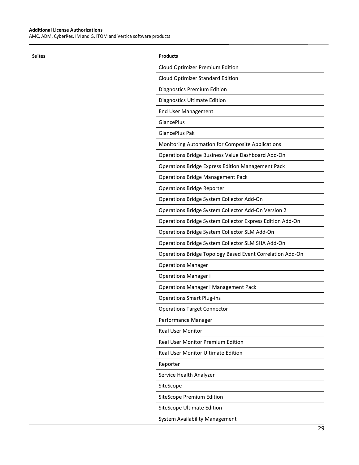$\overline{a}$ 

AMC, ADM, CyberRes, IM and G, ITOM and Vertica software products

| <b>Suites</b> | <b>Products</b>                                           |
|---------------|-----------------------------------------------------------|
|               | Cloud Optimizer Premium Edition                           |
|               | Cloud Optimizer Standard Edition                          |
|               | <b>Diagnostics Premium Edition</b>                        |
|               | Diagnostics Ultimate Edition                              |
|               | <b>End User Management</b>                                |
|               | GlancePlus                                                |
|               | <b>GlancePlus Pak</b>                                     |
|               | Monitoring Automation for Composite Applications          |
|               | Operations Bridge Business Value Dashboard Add-On         |
|               | <b>Operations Bridge Express Edition Management Pack</b>  |
|               | <b>Operations Bridge Management Pack</b>                  |
|               | <b>Operations Bridge Reporter</b>                         |
|               | Operations Bridge System Collector Add-On                 |
|               | Operations Bridge System Collector Add-On Version 2       |
|               | Operations Bridge System Collector Express Edition Add-On |
|               | Operations Bridge System Collector SLM Add-On             |
|               | Operations Bridge System Collector SLM SHA Add-On         |
|               | Operations Bridge Topology Based Event Correlation Add-On |
|               | <b>Operations Manager</b>                                 |
|               | Operations Manager i                                      |
|               | <b>Operations Manager i Management Pack</b>               |
|               | <b>Operations Smart Plug-ins</b>                          |
|               | <b>Operations Target Connector</b>                        |
|               | Performance Manager                                       |
|               | Real User Monitor                                         |
|               | Real User Monitor Premium Edition                         |
|               | Real User Monitor Ultimate Edition                        |
|               | Reporter                                                  |
|               | Service Health Analyzer                                   |
|               | SiteScope                                                 |
|               | <b>SiteScope Premium Edition</b>                          |
|               | <b>SiteScope Ultimate Edition</b>                         |
|               | System Availability Management                            |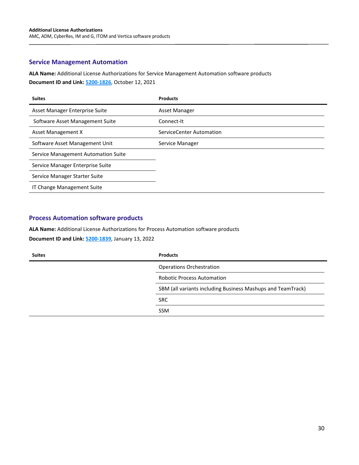#### <span id="page-29-0"></span>**Service Management Automation**

**ALA Name:** Additional License Authorizations for Service Management Automation software products

**Document ID and Link: [5200-1826](https://www.microfocus.com/media/documentation/additional-license-authorizations-for-service-management-automation-software-products-documentation.pdf)**, October 12, 2021

| <b>Suites</b>                       | <b>Products</b>          |
|-------------------------------------|--------------------------|
| Asset Manager Enterprise Suite      | Asset Manager            |
| Software Asset Management Suite     | Connect-It               |
| Asset Management X                  | ServiceCenter Automation |
| Software Asset Management Unit      | Service Manager          |
| Service Management Automation Suite |                          |
| Service Manager Enterprise Suite    |                          |
| Service Manager Starter Suite       |                          |
| IT Change Management Suite          |                          |

## <span id="page-29-1"></span>**Process Automation software products**

**ALA Name:** Additional License Authorizations for Process Automation software products **Document ID and Link: [5200-1839](https://www.microfocus.com/media/documentation/additional-license-authorizations-for-process-automation-software-products-documentation.pdf)**, January 13, 2022

| <b>Suites</b> | <b>Products</b>                                             |
|---------------|-------------------------------------------------------------|
|               | <b>Operations Orchestration</b>                             |
|               | <b>Robotic Process Automation</b>                           |
|               | SBM (all variants including Business Mashups and TeamTrack) |
|               | <b>SRC</b>                                                  |
|               | <b>SSM</b>                                                  |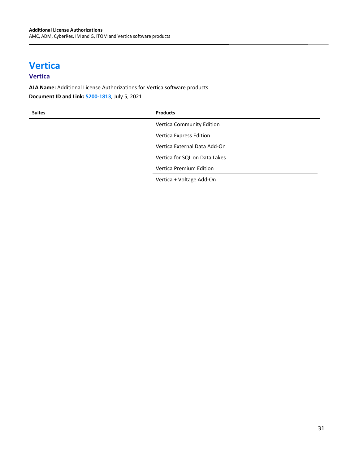# <span id="page-30-0"></span>**Vertica**

## <span id="page-30-1"></span>**Vertica**

**ALA Name:** Additional License Authorizations for Vertica software products **Document ID and Link: [5200-1813](https://www.microfocus.com/pnx/media/documentation/additional-license-authorizations-for-vertica-software-products-documentation.pdf)**, July 5, 2021

| <b>Suites</b> | <b>Products</b>               |
|---------------|-------------------------------|
|               | Vertica Community Edition     |
|               | Vertica Express Edition       |
|               | Vertica External Data Add-On  |
|               | Vertica for SQL on Data Lakes |
|               | Vertica Premium Edition       |
|               | Vertica + Voltage Add-On      |